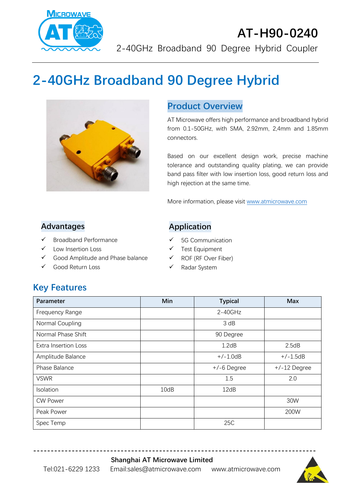

### **AT-H90-0240** 2-40GHz Broadband 90 Degree Hybrid Coupler

# **2-40GHz Broadband 90 Degree Hybrid**



### **Product Overview**

AT Microwave offers high performance and broadband hybrid from 0.1-50GHz, with SMA, 2.92mm, 2,4mm and 1.85mm connectors.

Based on our excellent design work, precise machine tolerance and outstanding quality plating, we can provide band pass filter with low insertion loss, good return loss and high rejection at the same time.

More information, please visit [www.atmicrowave.com](http://www.atmicrowave.com/)

#### **Advantages**

- ✓ Broadband Performance
- Low Insertion Loss
- ✓ Good Amplitude and Phase balance
- ✓ Good Return Loss

### **Application**

- ✓ 5G Communication
- ✓ Test Equipment
- ✓ ROF (RF Over Fiber)
- ✓ Radar System

### **Key Features**

| Parameter                   | Min  | <b>Typical</b> | <b>Max</b>     |
|-----------------------------|------|----------------|----------------|
| Frequency Range             |      | $2 - 40$ GHz   |                |
| Normal Coupling             |      | 3 dB           |                |
| Normal Phase Shift          |      | 90 Degree      |                |
| <b>Extra Insertion Loss</b> |      | 1.2dB          | 2.5dB          |
| Amplitude Balance           |      | $+/-1.0dB$     | $+/-1.5dB$     |
| Phase Balance               |      | $+/-6$ Degree  | $+/-12$ Degree |
| <b>VSWR</b>                 |      | 1.5            | 2.0            |
| Isolation                   | 10dB | 12dB           |                |
| <b>CW Power</b>             |      |                | 30W            |
| Peak Power                  |      |                | 200W           |
| Spec Temp                   |      | 25C            |                |

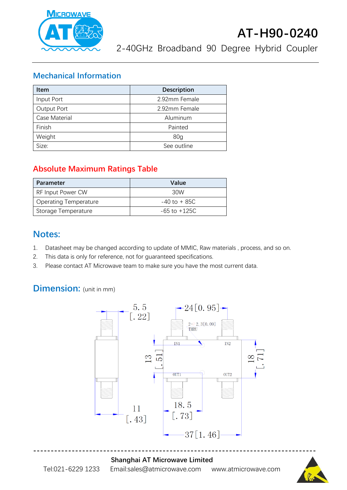

## **AT-H90-0240**

2-40GHz Broadband 90 Degree Hybrid Coupler

### **Mechanical Information**

| <b>Item</b>   | <b>Description</b> |  |
|---------------|--------------------|--|
| Input Port    | 2.92mm Female      |  |
| Output Port   | 2.92mm Female      |  |
| Case Material | Aluminum           |  |
| Finish        | Painted            |  |
| Weight        | 80 <sub>q</sub>    |  |
| Size:         | See outline        |  |

### **Absolute Maximum Ratings Table**

| Parameter                    | Value            |
|------------------------------|------------------|
| <b>RF Input Power CW</b>     | 30W              |
| <b>Operating Temperature</b> | $-40$ to $+85C$  |
| Storage Temperature          | $-65$ to $+125C$ |

### **Notes:**

- 1. Datasheet may be changed according to update of MMIC, Raw materials , process, and so on.
- 2. This data is only for reference, not for guaranteed specifications.
- 3. Please contact AT Microwave team to make sure you have the most current data.

### **Dimension:** (unit in mm)